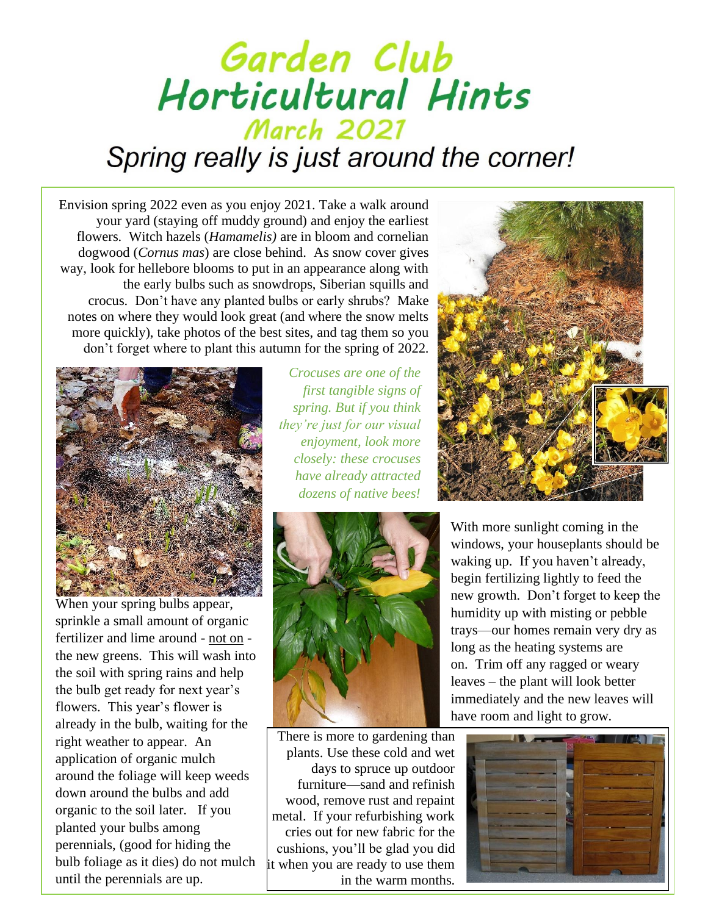## Garden Club Horticultural Hints **March 2021** Spring really is just around the corner!

Envision spring 2022 even as you enjoy 2021. Take a walk around your yard (staying off muddy ground) and enjoy the earliest flowers. Witch hazels (*Hamamelis)* are in bloom and cornelian dogwood (*Cornus mas*) are close behind. As snow cover gives way, look for hellebore blooms to put in an appearance along with the early bulbs such as snowdrops, Siberian squills and crocus. Don't have any planted bulbs or early shrubs? Make notes on where they would look great (and where the snow melts more quickly), take photos of the best sites, and tag them so you don't forget where to plant this autumn for the spring of 2022.



When your spring bulbs appear, sprinkle a small amount of organic fertilizer and lime around - not on the new greens. This will wash into the soil with spring rains and help the bulb get ready for next year's flowers. This year's flower is already in the bulb, waiting for the right weather to appear. An application of organic mulch around the foliage will keep weeds down around the bulbs and add organic to the soil later. If you planted your bulbs among perennials, (good for hiding the bulb foliage as it dies) do not mulch until the perennials are up.

*Crocuses are one of the first tangible signs of spring. But if you think they're just for our visual enjoyment, look more closely: these crocuses have already attracted dozens of native bees!* 



There is more to gardening than plants. Use these cold and wet days to spruce up outdoor furniture—sand and refinish wood, remove rust and repaint metal. If your refurbishing work cries out for new fabric for the cushions, you'll be glad you did it when you are ready to use them in the warm months.



With more sunlight coming in the windows, your houseplants should be waking up. If you haven't already, begin fertilizing lightly to feed the new growth. Don't forget to keep the humidity up with misting or pebble trays—our homes remain very dry as long as the heating systems are on. Trim off any ragged or weary leaves – the plant will look better immediately and the new leaves will have room and light to grow.